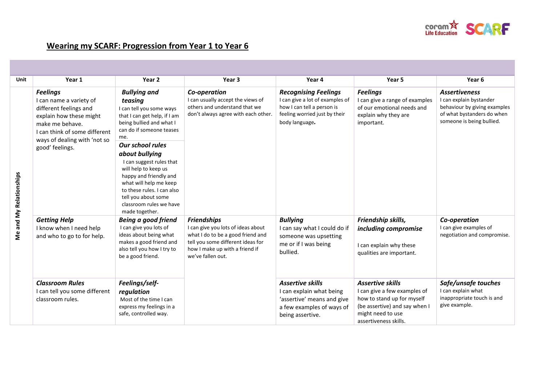

## **Wearing my SCARF: Progression from Year 1 to Year 6**

| Unit                           | Year 1                                                                                                                                                                                                 | Year 2                                                                                                                                                                                                                   | Year 3                                                                                                                                                                                    | Year 4                                                                                                                                          | Year <sub>5</sub>                                                                                                                                                    | Year <sub>6</sub>                                                                                                                          |
|--------------------------------|--------------------------------------------------------------------------------------------------------------------------------------------------------------------------------------------------------|--------------------------------------------------------------------------------------------------------------------------------------------------------------------------------------------------------------------------|-------------------------------------------------------------------------------------------------------------------------------------------------------------------------------------------|-------------------------------------------------------------------------------------------------------------------------------------------------|----------------------------------------------------------------------------------------------------------------------------------------------------------------------|--------------------------------------------------------------------------------------------------------------------------------------------|
| <b>Me and My Relationships</b> | <b>Feelings</b><br>I can name a variety of<br>different feelings and<br>explain how these might<br>make me behave.<br>I can think of some different<br>ways of dealing with 'not so<br>good' feelings. | <b>Bullying and</b><br>teasing<br>I can tell you some ways<br>that I can get help, if I am<br>being bullied and what I<br>can do if someone teases<br>me.<br><b>Our school rules</b>                                     | Co-operation<br>I can usually accept the views of<br>others and understand that we<br>don't always agree with each other.                                                                 | <b>Recognising Feelings</b><br>I can give a lot of examples of<br>how I can tell a person is<br>feeling worried just by their<br>body language. | <b>Feelings</b><br>I can give a range of examples<br>of our emotional needs and<br>explain why they are<br>important.                                                | <b>Assertiveness</b><br>I can explain bystander<br>behaviour by giving examples<br>of what bystanders do when<br>someone is being bullied. |
|                                |                                                                                                                                                                                                        | about bullying<br>I can suggest rules that<br>will help to keep us<br>happy and friendly and<br>what will help me keep<br>to these rules. I can also<br>tell you about some<br>classroom rules we have<br>made together. |                                                                                                                                                                                           |                                                                                                                                                 |                                                                                                                                                                      |                                                                                                                                            |
|                                | <b>Getting Help</b><br>I know when I need help<br>and who to go to for help.                                                                                                                           | <b>Being a good friend</b><br>I can give you lots of<br>ideas about being what<br>makes a good friend and<br>also tell you how I try to<br>be a good friend.                                                             | <b>Friendships</b><br>I can give you lots of ideas about<br>what I do to be a good friend and<br>tell you some different ideas for<br>how I make up with a friend if<br>we've fallen out. | <b>Bullying</b><br>I can say what I could do if<br>someone was upsetting<br>me or if I was being<br>bullied.                                    | Friendship skills,<br>including compromise<br>I can explain why these<br>qualities are important.                                                                    | Co-operation<br>I can give examples of<br>negotiation and compromise.                                                                      |
|                                | <b>Classroom Rules</b><br>I can tell you some different<br>classroom rules.                                                                                                                            | Feelings/self-<br>regulation<br>Most of the time I can<br>express my feelings in a<br>safe, controlled way.                                                                                                              |                                                                                                                                                                                           | <b>Assertive skills</b><br>I can explain what being<br>'assertive' means and give<br>a few examples of ways of<br>being assertive.              | <b>Assertive skills</b><br>I can give a few examples of<br>how to stand up for myself<br>(be assertive) and say when I<br>might need to use<br>assertiveness skills. | Safe/unsafe touches<br>I can explain what<br>inappropriate touch is and<br>give example.                                                   |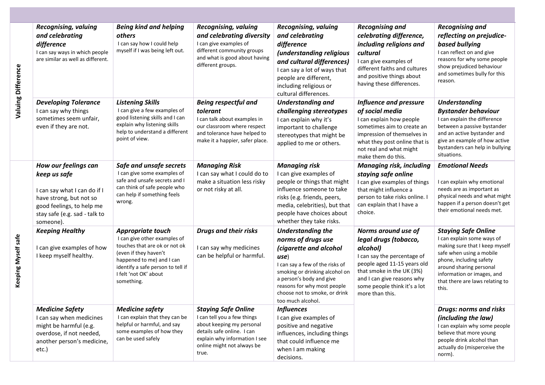| <b>Recognising, valuing</b><br>and celebrating<br>difference                                           | I can say ways in which people<br>are similar as well as different.                        | <b>Being kind and helping</b><br>others<br>I can say how I could help<br>myself if I was being left out.                                                                                                             | <b>Recognising, valuing</b><br>and celebrating diversity<br>I can give examples of<br>different community groups<br>and what is good about having<br>different groups.                       | <b>Recognising, valuing</b><br>and celebrating<br>difference<br>(understanding religious<br>and cultural differences)<br>I can say a lot of ways that<br>people are different,<br>including religious or                                                               | <b>Recognising and</b><br>celebrating difference,<br>including religions and<br>cultural<br>I can give examples of<br>different faiths and cultures<br>and positive things about<br>having these differences.                        | <b>Recognising and</b><br>reflecting on prejudice-<br>based bullying<br>I can reflect on and give<br>reasons for why some people<br>show prejudiced behaviour<br>and sometimes bully for this<br>reason.                                               |
|--------------------------------------------------------------------------------------------------------|--------------------------------------------------------------------------------------------|----------------------------------------------------------------------------------------------------------------------------------------------------------------------------------------------------------------------|----------------------------------------------------------------------------------------------------------------------------------------------------------------------------------------------|------------------------------------------------------------------------------------------------------------------------------------------------------------------------------------------------------------------------------------------------------------------------|--------------------------------------------------------------------------------------------------------------------------------------------------------------------------------------------------------------------------------------|--------------------------------------------------------------------------------------------------------------------------------------------------------------------------------------------------------------------------------------------------------|
| <b>Developing Tolerance</b><br>I can say why things<br>sometimes seem unfair,<br>even if they are not. |                                                                                            | <b>Listening Skills</b><br>I can give a few examples of<br>good listening skills and I can<br>explain why listening skills<br>help to understand a different<br>point of view.                                       | <b>Being respectful and</b><br>tolerant<br>I can talk about examples in<br>our classroom where respect<br>and tolerance have helped to<br>make it a happier, safer place.                    | cultural differences.<br><b>Understanding and</b><br>challenging stereotypes<br>I can explain why it's<br>important to challenge<br>stereotypes that might be<br>applied to me or others.                                                                              | <b>Influence and pressure</b><br>of social media<br>I can explain how people<br>sometimes aim to create an<br>impression of themselves in<br>what they post online that is<br>not real and what might<br>make them do this.          | <b>Understanding</b><br><b>Bystander behaviour</b><br>I can explain the difference<br>between a passive bystander<br>and an active bystander and<br>give an example of how active<br>bystanders can help in bullying<br>situations.                    |
| How our feelings can<br>keep us safe<br>have strong, but not so<br>someone).                           | I can say what I can do if I<br>good feelings, to help me<br>stay safe (e.g. sad - talk to | Safe and unsafe secrets<br>I can give some examples of<br>safe and unsafe secrets and I<br>can think of safe people who<br>can help if something feels<br>wrong.                                                     | <b>Managing Risk</b><br>I can say what I could do to<br>make a situation less risky<br>or not risky at all.                                                                                  | <b>Managing risk</b><br>I can give examples of<br>people or things that might<br>influence someone to take<br>risks (e.g. friends, peers,<br>media, celebrities), but that<br>people have choices about<br>whether they take risks.                                    | <b>Managing risk, including</b><br>staying safe online<br>I can give examples of things<br>that might influence a<br>person to take risks online. I<br>can explain that I have a<br>choice.                                          | <b>Emotional Needs</b><br>I can explain why emotional<br>needs are as important as<br>physical needs and what might<br>happen if a person doesn't get<br>their emotional needs met.                                                                    |
| <b>Keeping Healthy</b><br>I keep myself healthy.                                                       | I can give examples of how                                                                 | Appropriate touch<br>I can give other examples of<br>touches that are ok or not ok<br>(even if they haven't<br>happened to me) and I can<br>identify a safe person to tell if<br>I felt 'not OK' about<br>something. | <b>Drugs and their risks</b><br>I can say why medicines<br>can be helpful or harmful.                                                                                                        | <b>Understanding the</b><br>norms of drugs use<br>(cigarette and alcohol<br>use)<br>I can say a few of the risks of<br>smoking or drinking alcohol on<br>a person's body and give<br>reasons for why most people<br>choose not to smoke, or drink<br>too much alcohol. | Norms around use of<br>legal drugs (tobacco,<br>alcohol)<br>I can say the percentage of<br>people aged 11-15 years old<br>that smoke in the UK (3%)<br>and I can give reasons why<br>some people think it's a lot<br>more than this. | <b>Staying Safe Online</b><br>I can explain some ways of<br>making sure that I keep myself<br>safe when using a mobile<br>phone, including safety<br>around sharing personal<br>information or images, and<br>that there are laws relating to<br>this. |
| <b>Medicine Safety</b><br>might be harmful (e.g.<br>overdose, if not needed,<br>etc.)                  | I can say when medicines<br>another person's medicine,                                     | <b>Medicine safety</b><br>I can explain that they can be<br>helpful or harmful, and say<br>some examples of how they<br>can be used safely                                                                           | <b>Staying Safe Online</b><br>I can tell you a few things<br>about keeping my personal<br>details safe online. I can<br>explain why information I see<br>online might not always be<br>true. | <b>Influences</b><br>I can give examples of<br>positive and negative<br>influences, including things<br>that could influence me<br>when I am making<br>decisions.                                                                                                      |                                                                                                                                                                                                                                      | <b>Drugs: norms and risks</b><br>(including the law)<br>I can explain why some people<br>believe that more young<br>people drink alcohol than<br>actually do (misperceive the<br>norm).                                                                |

**Valuing Difference**

Valuing Difference

**Keeping Myself safe**

Keeping Myself safe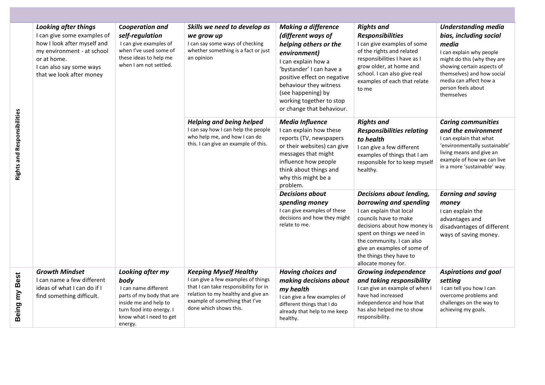| <b>Rights and Responsibilities</b> | <b>Looking after things</b><br>I can give some examples of<br>how I look after myself and<br>my environment - at school<br>or at home.<br>I can also say some ways<br>that we look after money | Cooperation and<br>self-regulation<br>I can give examples of<br>when I've used some of<br>these ideas to help me<br>when I am not settled.                               | Skills we need to develop as<br>we grow up<br>I can say some ways of checking<br>whether something is a fact or just<br>an opinion                                                                              | <b>Making a difference</b><br>(different ways of<br>helping others or the<br>environment)<br>I can explain how a<br>'bystander' I can have a<br>positive effect on negative<br>behaviour they witness<br>(see happening) by<br>working together to stop<br>or change that behaviour. | <b>Rights and</b><br><b>Responsibilities</b><br>I can give examples of some<br>of the rights and related<br>responsibilities I have as I<br>grow older, at home and<br>school. I can also give real<br>examples of each that relate<br>to me                                        | <b>Understanding media</b><br>bias, including social<br>media<br>I can explain why people<br>might do this (why they are<br>showing certain aspects of<br>themselves) and how social<br>media can affect how a<br>person feels about<br>themselves |
|------------------------------------|------------------------------------------------------------------------------------------------------------------------------------------------------------------------------------------------|--------------------------------------------------------------------------------------------------------------------------------------------------------------------------|-----------------------------------------------------------------------------------------------------------------------------------------------------------------------------------------------------------------|--------------------------------------------------------------------------------------------------------------------------------------------------------------------------------------------------------------------------------------------------------------------------------------|-------------------------------------------------------------------------------------------------------------------------------------------------------------------------------------------------------------------------------------------------------------------------------------|----------------------------------------------------------------------------------------------------------------------------------------------------------------------------------------------------------------------------------------------------|
|                                    |                                                                                                                                                                                                |                                                                                                                                                                          | <b>Helping and being helped</b><br>I can say how I can help the people<br>who help me, and how I can do<br>this. I can give an example of this.                                                                 | <b>Media Influence</b><br>I can explain how these<br>reports (TV, newspapers<br>or their websites) can give<br>messages that might<br>influence how people<br>think about things and<br>why this might be a<br>problem.                                                              | <b>Rights and</b><br><b>Responsibilities relating</b><br>to health<br>I can give a few different<br>examples of things that I am<br>responsible for to keep myself<br>healthy.                                                                                                      | <b>Caring communities</b><br>and the environment<br>I can explain that what<br>'environmentally sustainable'<br>living means and give an<br>example of how we can live<br>in a more 'sustainable' way.                                             |
|                                    |                                                                                                                                                                                                |                                                                                                                                                                          |                                                                                                                                                                                                                 | <b>Decisions about</b><br>spending money<br>I can give examples of these<br>decisions and how they might<br>relate to me.                                                                                                                                                            | Decisions about lending,<br>borrowing and spending<br>I can explain that local<br>councils have to make<br>decisions about how money is<br>spent on things we need in<br>the community. I can also<br>give an examples of some of<br>the things they have to<br>allocate money for. | <b>Earning and saving</b><br>money<br>I can explain the<br>advantages and<br>disadvantages of different<br>ways of saving money.                                                                                                                   |
| Being my Best                      | <b>Growth Mindset</b><br>I can name a few different<br>ideas of what I can do if I<br>find something difficult.                                                                                | Looking after my<br>body<br>I can name different<br>parts of my body that are<br>inside me and help to<br>turn food into energy. I<br>know what I need to get<br>energy. | <b>Keeping Myself Healthy</b><br>I can give a few examples of things<br>that I can take responsibility for in<br>relation to my healthy and give an<br>example of something that I've<br>done which shows this. | <b>Having choices and</b><br>making decisions about<br>my health<br>I can give a few examples of<br>different things that I do<br>already that help to me keep<br>healthy.                                                                                                           | <b>Growing independence</b><br>and taking responsibility<br>I can give an example of when I<br>have had increased<br>independence and how that<br>has also helped me to show<br>responsibility.                                                                                     | <b>Aspirations and goal</b><br>setting<br>I can tell you how I can<br>overcome problems and<br>challenges on the way to<br>achieving my goals.                                                                                                     |